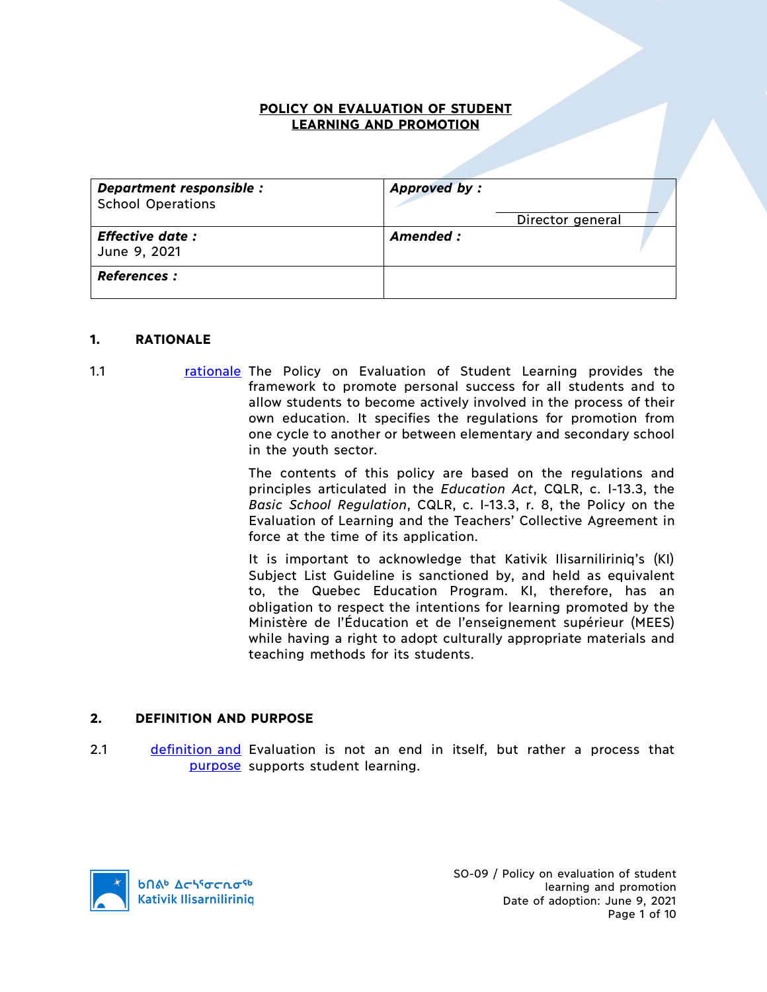#### **POLICY ON EVALUATION OF STUDENT LEARNING AND PROMOTION**

| Department responsible :<br><b>School Operations</b> | Approved by:     |
|------------------------------------------------------|------------------|
|                                                      | Director general |
| <b>Effective date:</b><br>June 9, 2021               | Amended :        |
| <b>References :</b>                                  |                  |

#### **1. RATIONALE**

1.1 **rationale** The Policy on Evaluation of Student Learning provides the framework to promote personal success for all students and to allow students to become actively involved in the process of their own education. It specifies the regulations for promotion from one cycle to another or between elementary and secondary school in the youth sector.

> The contents of this policy are based on the regulations and principles articulated in the *Education Act*, CQLR, c. I-13.3, the *Basic School Regulation*, CQLR, c. I-13.3, r. 8, the Policy on the Evaluation of Learning and the Teachers' Collective Agreement in force at the time of its application.

> It is important to acknowledge that Kativik Ilisarniliriniq's (KI) Subject List Guideline is sanctioned by, and held as equivalent to, the Quebec Education Program. KI, therefore, has an obligation to respect the intentions for learning promoted by the Ministère de l'Éducation et de l'enseignement supérieur (MEES) while having a right to adopt culturally appropriate materials and teaching methods for its students.

#### **2. DEFINITION AND PURPOSE**

2.1 definition and Evaluation is not an end in itself, but rather a process that purpose supports student learning.

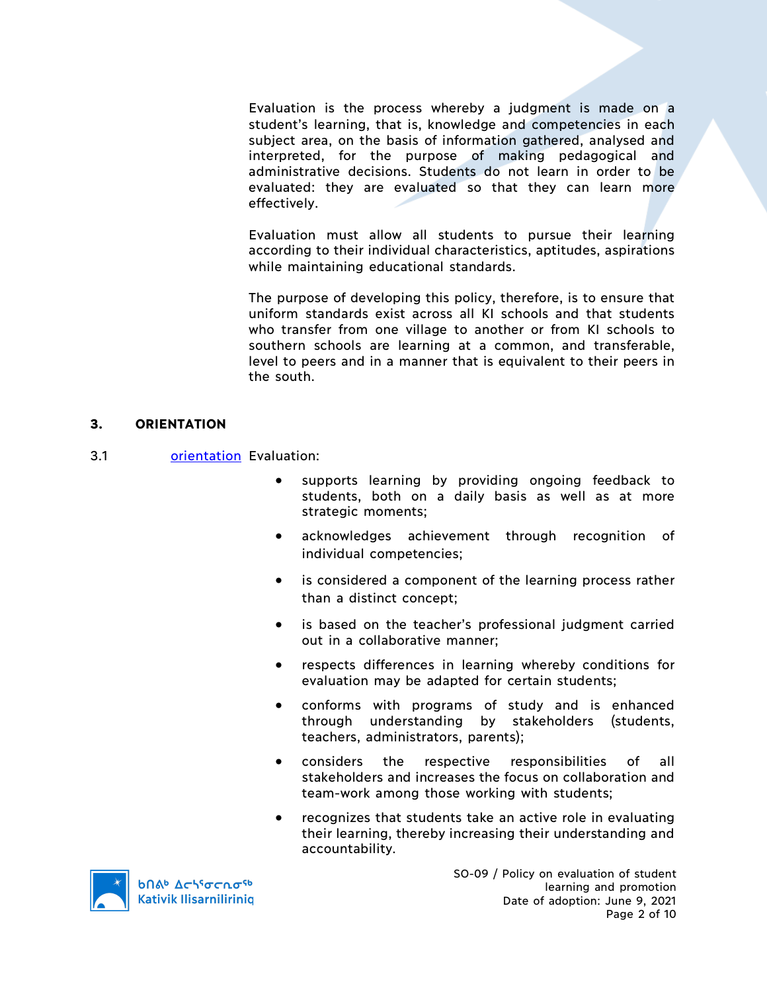Evaluation is the process whereby a judgment is made on a student's learning, that is, knowledge and competencies in each subject area, on the basis of information gathered, analysed and interpreted, for the purpose of making pedagogical and administrative decisions. Students do not learn in order to be evaluated: they are evaluated so that they can learn more effectively.

Evaluation must allow all students to pursue their learning according to their individual characteristics, aptitudes, aspirations while maintaining educational standards.

The purpose of developing this policy, therefore, is to ensure that uniform standards exist across all KI schools and that students who transfer from one village to another or from KI schools to southern schools are learning at a common, and transferable, level to peers and in a manner that is equivalent to their peers in the south.

### **3. ORIENTATION**

- 3.1 orientation Evaluation:
	- supports learning by providing ongoing feedback to students, both on a daily basis as well as at more strategic moments;
	- acknowledges achievement through recognition of individual competencies;
	- is considered a component of the learning process rather than a distinct concept;
	- is based on the teacher's professional judgment carried out in a collaborative manner;
	- respects differences in learning whereby conditions for evaluation may be adapted for certain students;
	- conforms with programs of study and is enhanced through understanding by stakeholders (students, teachers, administrators, parents);
	- considers the respective responsibilities of all stakeholders and increases the focus on collaboration and team-work among those working with students;
	- recognizes that students take an active role in evaluating their learning, thereby increasing their understanding and accountability.

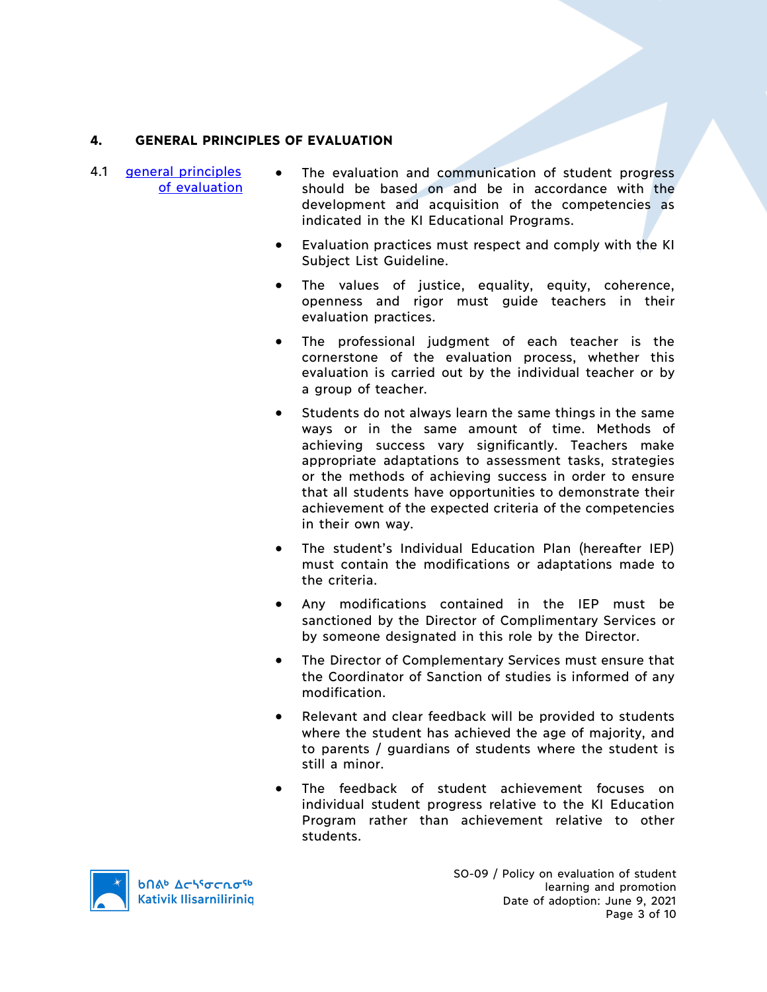# **4. GENERAL PRINCIPLES OF EVALUATION**

- 4.1 general principles of evaluation
- The evaluation and communication of student progress should be based on and be in accordance with the development and acquisition of the competencies as indicated in the KI Educational Programs.
	- Evaluation practices must respect and comply with the KI Subject List Guideline.
	- The values of justice, equality, equity, coherence, openness and rigor must guide teachers in their evaluation practices.
	- The professional judgment of each teacher is the cornerstone of the evaluation process, whether this evaluation is carried out by the individual teacher or by a group of teacher.
	- Students do not always learn the same things in the same ways or in the same amount of time. Methods of achieving success vary significantly. Teachers make appropriate adaptations to assessment tasks, strategies or the methods of achieving success in order to ensure that all students have opportunities to demonstrate their achievement of the expected criteria of the competencies in their own way.
	- The student's Individual Education Plan (hereafter IEP) must contain the modifications or adaptations made to the criteria.
	- Any modifications contained in the IEP must be sanctioned by the Director of Complimentary Services or by someone designated in this role by the Director.
	- The Director of Complementary Services must ensure that the Coordinator of Sanction of studies is informed of any modification.
	- Relevant and clear feedback will be provided to students where the student has achieved the age of majority, and to parents / guardians of students where the student is still a minor.
	- The feedback of student achievement focuses on individual student progress relative to the KI Education Program rather than achievement relative to other students.

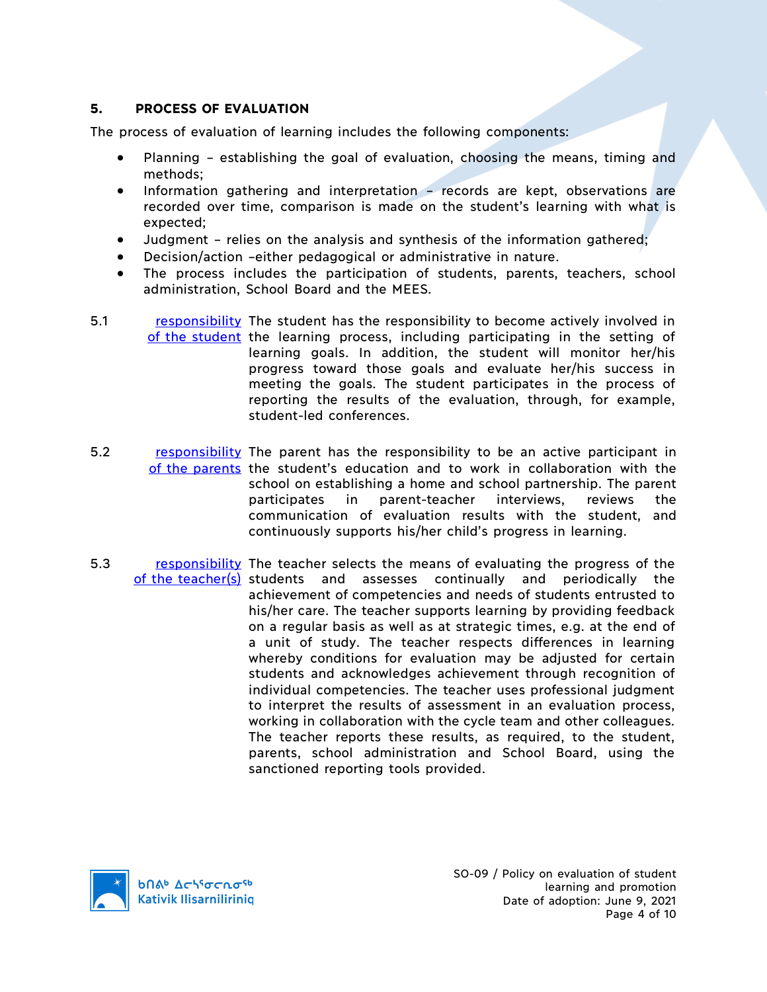## **5. PROCESS OF EVALUATION**

The process of evaluation of learning includes the following components:

- Planning establishing the goal of evaluation, choosing the means, timing and methods;
- Information gathering and interpretation records are kept, observations are recorded over time, comparison is made on the student's learning with what is expected;
- Judgment relies on the analysis and synthesis of the information gathered;
- Decision/action –either pedagogical or administrative in nature.
- The process includes the participation of students, parents, teachers, school administration, School Board and the MEES.
- 5.1 responsibility The student has the responsibility to become actively involved in of the student the learning process, including participating in the setting of learning goals. In addition, the student will monitor her/his progress toward those goals and evaluate her/his success in meeting the goals. The student participates in the process of reporting the results of the evaluation, through, for example, student-led conferences.
- 5.2 responsibility The parent has the responsibility to be an active participant in of the parents the student's education and to work in collaboration with the school on establishing a home and school partnership. The parent participates in parent-teacher interviews, reviews the communication of evaluation results with the student, and continuously supports his/her child's progress in learning.
- 5.3 responsibility The teacher selects the means of evaluating the progress of the of the teacher(s) students and assesses continually and periodically the achievement of competencies and needs of students entrusted to his/her care. The teacher supports learning by providing feedback on a regular basis as well as at strategic times, e.g. at the end of a unit of study. The teacher respects differences in learning whereby conditions for evaluation may be adjusted for certain students and acknowledges achievement through recognition of individual competencies. The teacher uses professional judgment to interpret the results of assessment in an evaluation process, working in collaboration with the cycle team and other colleagues. The teacher reports these results, as required, to the student, parents, school administration and School Board, using the sanctioned reporting tools provided.

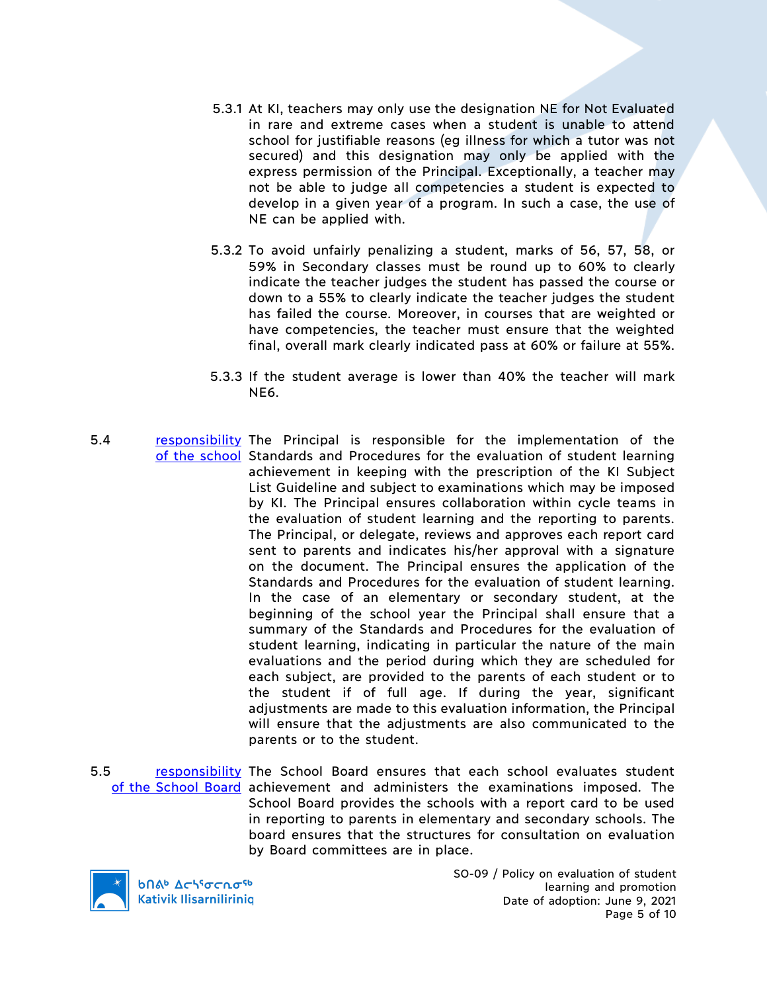- 5.3.1 At KI, teachers may only use the designation NE for Not Evaluated in rare and extreme cases when a student is unable to attend school for justifiable reasons (eg illness for which a tutor was not secured) and this designation may only be applied with the express permission of the Principal. Exceptionally, a teacher may not be able to judge all competencies a student is expected to develop in a given year of a program. In such a case, the use of NE can be applied with.
- 5.3.2 To avoid unfairly penalizing a student, marks of 56, 57, 58, or 59% in Secondary classes must be round up to 60% to clearly indicate the teacher judges the student has passed the course or down to a 55% to clearly indicate the teacher judges the student has failed the course. Moreover, in courses that are weighted or have competencies, the teacher must ensure that the weighted final, overall mark clearly indicated pass at 60% or failure at 55%.
- 5.3.3 If the student average is lower than 40% the teacher will mark NE6.
- 5.4 **responsibility** The Principal is responsible for the implementation of the of the school Standards and Procedures for the evaluation of student learning achievement in keeping with the prescription of the KI Subject List Guideline and subject to examinations which may be imposed by KI. The Principal ensures collaboration within cycle teams in the evaluation of student learning and the reporting to parents. The Principal, or delegate, reviews and approves each report card sent to parents and indicates his/her approval with a signature on the document. The Principal ensures the application of the Standards and Procedures for the evaluation of student learning. In the case of an elementary or secondary student, at the beginning of the school year the Principal shall ensure that a summary of the Standards and Procedures for the evaluation of student learning, indicating in particular the nature of the main evaluations and the period during which they are scheduled for each subject, are provided to the parents of each student or to the student if of full age. If during the year, significant adjustments are made to this evaluation information, the Principal will ensure that the adjustments are also communicated to the parents or to the student.
- 5.5 responsibility The School Board ensures that each school evaluates student of the School Board achievement and administers the examinations imposed. The School Board provides the schools with a report card to be used in reporting to parents in elementary and secondary schools. The board ensures that the structures for consultation on evaluation by Board committees are in place.



**b**Πል<sup>b</sup> Δςιγσς ησ<sup>ς 6</sup> **Kativik Ilisarnilirinig**  SO-09 / Policy on evaluation of student learning and promotion Date of adoption: June 9, 2021 Page 5 of 10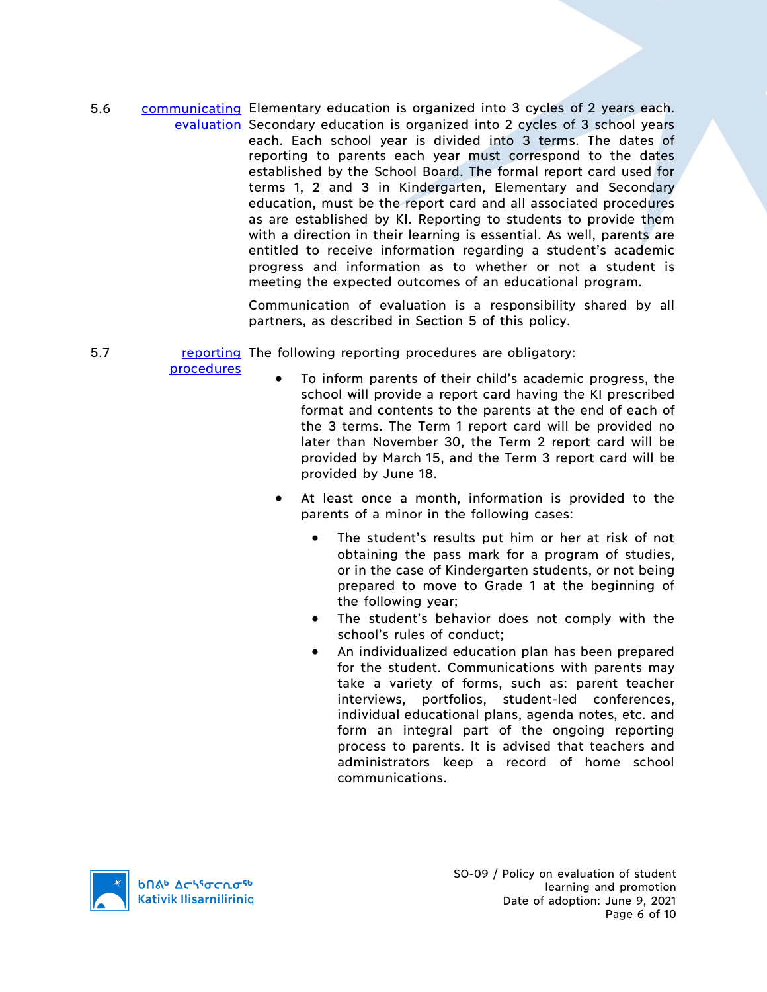5.6 communicating Elementary education is organized into 3 cycles of 2 years each. evaluation Secondary education is organized into 2 cycles of 3 school years each. Each school year is divided into 3 terms. The dates of reporting to parents each year must correspond to the dates established by the School Board. The formal report card used for terms 1, 2 and 3 in Kindergarten, Elementary and Secondary education, must be the report card and all associated procedures as are established by KI. Reporting to students to provide them with a direction in their learning is essential. As well, parents are entitled to receive information regarding a student's academic progress and information as to whether or not a student is meeting the expected outcomes of an educational program.

> Communication of evaluation is a responsibility shared by all partners, as described in Section 5 of this policy.

5.7 **reporting** The following reporting procedures are obligatory:

procedures

- To inform parents of their child's academic progress, the school will provide a report card having the KI prescribed format and contents to the parents at the end of each of the 3 terms. The Term 1 report card will be provided no later than November 30, the Term 2 report card will be provided by March 15, and the Term 3 report card will be provided by June 18.
- At least once a month, information is provided to the parents of a minor in the following cases:
	- The student's results put him or her at risk of not obtaining the pass mark for a program of studies, or in the case of Kindergarten students, or not being prepared to move to Grade 1 at the beginning of the following year;
	- The student's behavior does not comply with the school's rules of conduct;
	- An individualized education plan has been prepared for the student. Communications with parents may take a variety of forms, such as: parent teacher interviews, portfolios, student-led conferences, individual educational plans, agenda notes, etc. and form an integral part of the ongoing reporting process to parents. It is advised that teachers and administrators keep a record of home school communications.



SO-09 / Policy on evaluation of student learning and promotion Date of adoption: June 9, 2021 Page 6 of 10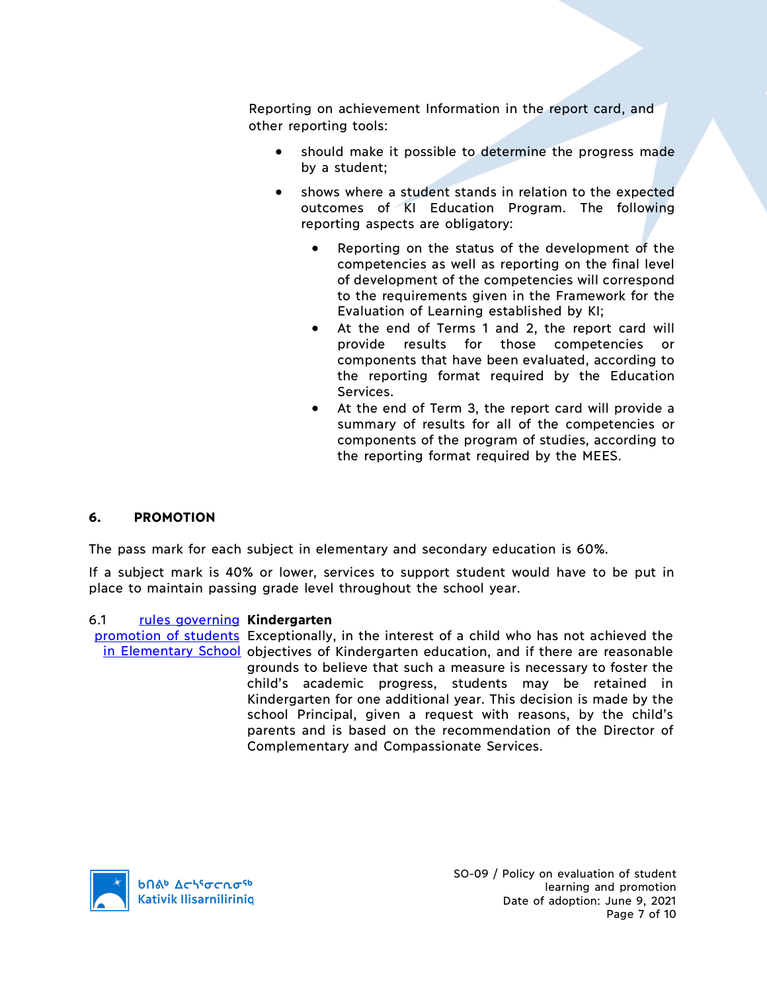Reporting on achievement Information in the report card, and other reporting tools:

- should make it possible to determine the progress made by a student;
- shows where a student stands in relation to the expected outcomes of KI Education Program. The following reporting aspects are obligatory:
	- Reporting on the status of the development of the competencies as well as reporting on the final level of development of the competencies will correspond to the requirements given in the Framework for the Evaluation of Learning established by KI;
	- At the end of Terms 1 and 2, the report card will provide results for those competencies or components that have been evaluated, according to the reporting format required by the Education Services.
	- At the end of Term 3, the report card will provide a summary of results for all of the competencies or components of the program of studies, according to the reporting format required by the MEES.

## **6. PROMOTION**

The pass mark for each subject in elementary and secondary education is 60%.

If a subject mark is 40% or lower, services to support student would have to be put in place to maintain passing grade level throughout the school year.

## 6.1 rules governing **Kindergarten**

promotion of students Exceptionally, in the interest of a child who has not achieved the in Elementary School objectives of Kindergarten education, and if there are reasonable grounds to believe that such a measure is necessary to foster the child's academic progress, students may be retained in Kindergarten for one additional year. This decision is made by the school Principal, given a request with reasons, by the child's parents and is based on the recommendation of the Director of Complementary and Compassionate Services.

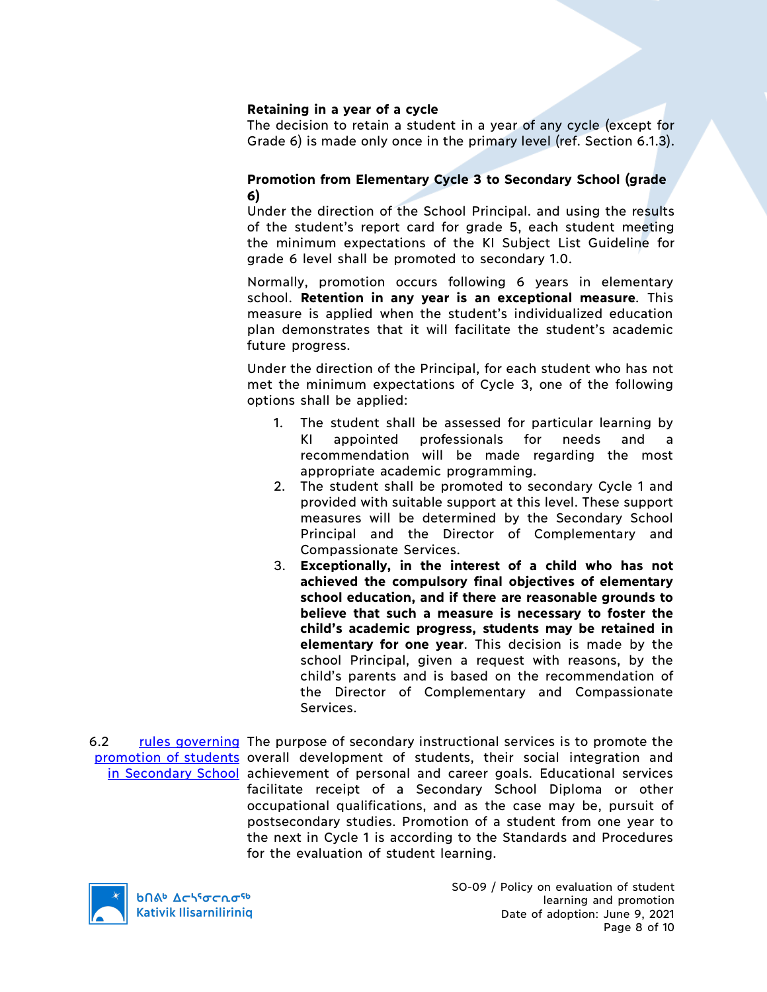### **Retaining in a year of a cycle**

The decision to retain a student in a year of any cycle (except for Grade 6) is made only once in the primary level (ref. Section 6.1.3).

### **Promotion from Elementary Cycle 3 to Secondary School (grade 6)**

Under the direction of the School Principal. and using the results of the student's report card for grade 5, each student meeting the minimum expectations of the KI Subject List Guideline for grade 6 level shall be promoted to secondary 1.0.

Normally, promotion occurs following 6 years in elementary school. **Retention in any year is an exceptional measure**. This measure is applied when the student's individualized education plan demonstrates that it will facilitate the student's academic future progress.

Under the direction of the Principal, for each student who has not met the minimum expectations of Cycle 3, one of the following options shall be applied:

- 1. The student shall be assessed for particular learning by appointed professionals for needs and a recommendation will be made regarding the most appropriate academic programming.
- 2. The student shall be promoted to secondary Cycle 1 and provided with suitable support at this level. These support measures will be determined by the Secondary School Principal and the Director of Complementary and Compassionate Services.
- 3. **Exceptionally, in the interest of a child who has not achieved the compulsory final objectives of elementary school education, and if there are reasonable grounds to believe that such a measure is necessary to foster the child's academic progress, students may be retained in elementary for one year**. This decision is made by the school Principal, given a request with reasons, by the child's parents and is based on the recommendation of the Director of Complementary and Compassionate Services.

6.2 rules governing The purpose of secondary instructional services is to promote the promotion of students overall development of students, their social integration and in Secondary School achievement of personal and career goals. Educational services facilitate receipt of a Secondary School Diploma or other occupational qualifications, and as the case may be, pursuit of postsecondary studies. Promotion of a student from one year to the next in Cycle 1 is according to the Standards and Procedures for the evaluation of student learning.



**b**በል<sup>b</sup>  $\Delta$ ch<sup>5</sup>σcnσ<sup>5b</sup> **Kativik Ilisarniliriniq**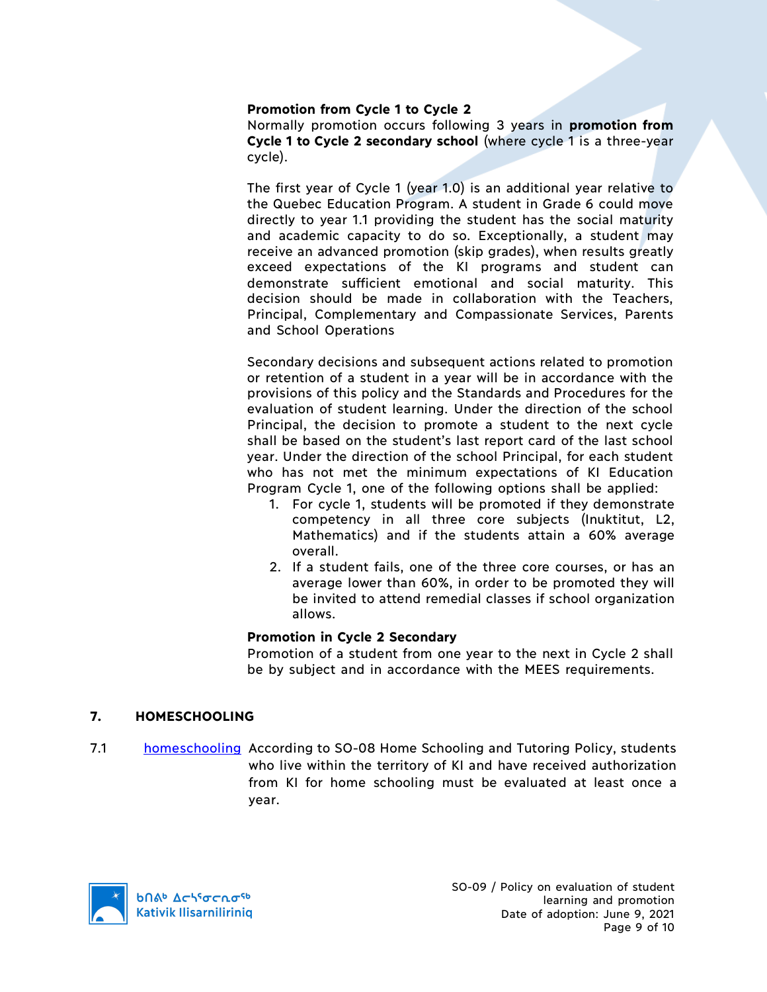### **Promotion from Cycle 1 to Cycle 2**

Normally promotion occurs following 3 years in **promotion from Cycle 1 to Cycle 2 secondary school** (where cycle 1 is a three-year cycle).

The first year of Cycle 1 (year 1.0) is an additional year relative to the Quebec Education Program. A student in Grade 6 could move directly to year 1.1 providing the student has the social maturity and academic capacity to do so. Exceptionally, a student may receive an advanced promotion (skip grades), when results greatly exceed expectations of the KI programs and student can demonstrate sufficient emotional and social maturity. This decision should be made in collaboration with the Teachers, Principal, Complementary and Compassionate Services, Parents and School Operations

Secondary decisions and subsequent actions related to promotion or retention of a student in a year will be in accordance with the provisions of this policy and the Standards and Procedures for the evaluation of student learning. Under the direction of the school Principal, the decision to promote a student to the next cycle shall be based on the student's last report card of the last school year. Under the direction of the school Principal, for each student who has not met the minimum expectations of KI Education Program Cycle 1, one of the following options shall be applied:

- 1. For cycle 1, students will be promoted if they demonstrate competency in all three core subjects (Inuktitut, L2, Mathematics) and if the students attain a 60% average overall.
- 2. If a student fails, one of the three core courses, or has an average lower than 60%, in order to be promoted they will be invited to attend remedial classes if school organization allows.

#### **Promotion in Cycle 2 Secondary**

Promotion of a student from one year to the next in Cycle 2 shall be by subject and in accordance with the MEES requirements.

## **7. HOMESCHOOLING**

7.1 homeschooling According to SO-08 Home Schooling and Tutoring Policy, students who live within the territory of KI and have received authorization from KI for home schooling must be evaluated at least once a year.